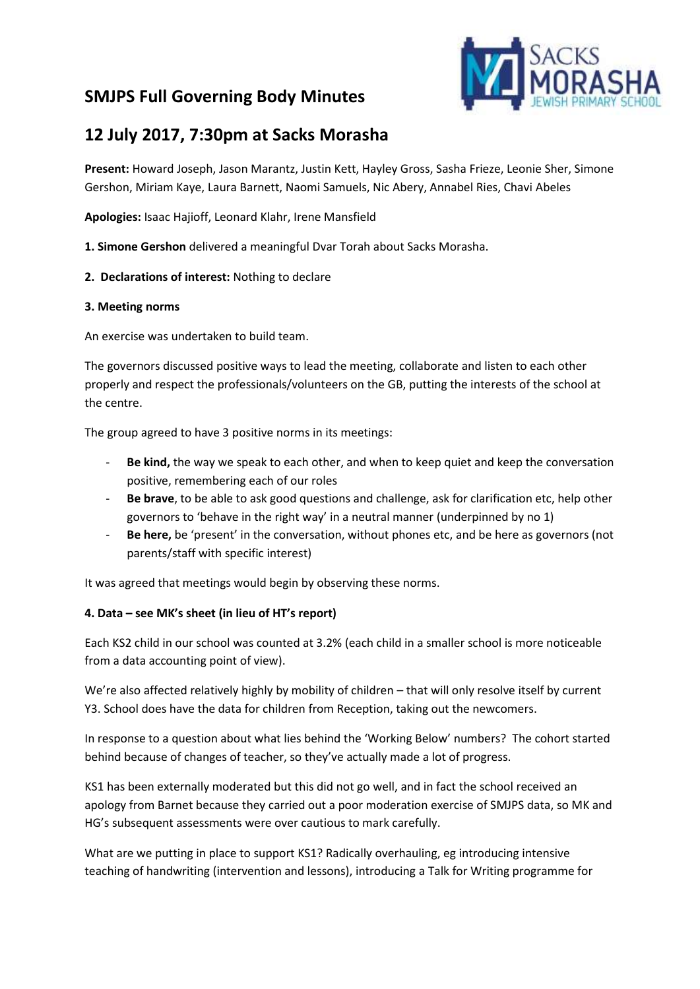# **SMJPS Full Governing Body Minutes**



# **12 July 2017, 7:30pm at Sacks Morasha**

**Present:** Howard Joseph, Jason Marantz, Justin Kett, Hayley Gross, Sasha Frieze, Leonie Sher, Simone Gershon, Miriam Kaye, Laura Barnett, Naomi Samuels, Nic Abery, Annabel Ries, Chavi Abeles

**Apologies:** Isaac Hajioff, Leonard Klahr, Irene Mansfield

**1. Simone Gershon** delivered a meaningful Dvar Torah about Sacks Morasha.

**2. Declarations of interest:** Nothing to declare

## **3. Meeting norms**

An exercise was undertaken to build team.

The governors discussed positive ways to lead the meeting, collaborate and listen to each other properly and respect the professionals/volunteers on the GB, putting the interests of the school at the centre.

The group agreed to have 3 positive norms in its meetings:

- **Be kind,** the way we speak to each other, and when to keep quiet and keep the conversation positive, remembering each of our roles
- **Be brave**, to be able to ask good questions and challenge, ask for clarification etc, help other governors to 'behave in the right way' in a neutral manner (underpinned by no 1)
- **Be here,** be 'present' in the conversation, without phones etc, and be here as governors (not parents/staff with specific interest)

It was agreed that meetings would begin by observing these norms.

#### **4. Data – see MK's sheet (in lieu of HT's report)**

Each KS2 child in our school was counted at 3.2% (each child in a smaller school is more noticeable from a data accounting point of view).

We're also affected relatively highly by mobility of children – that will only resolve itself by current Y3. School does have the data for children from Reception, taking out the newcomers.

In response to a question about what lies behind the 'Working Below' numbers? The cohort started behind because of changes of teacher, so they've actually made a lot of progress.

KS1 has been externally moderated but this did not go well, and in fact the school received an apology from Barnet because they carried out a poor moderation exercise of SMJPS data, so MK and HG's subsequent assessments were over cautious to mark carefully.

What are we putting in place to support KS1? Radically overhauling, eg introducing intensive teaching of handwriting (intervention and lessons), introducing a Talk for Writing programme for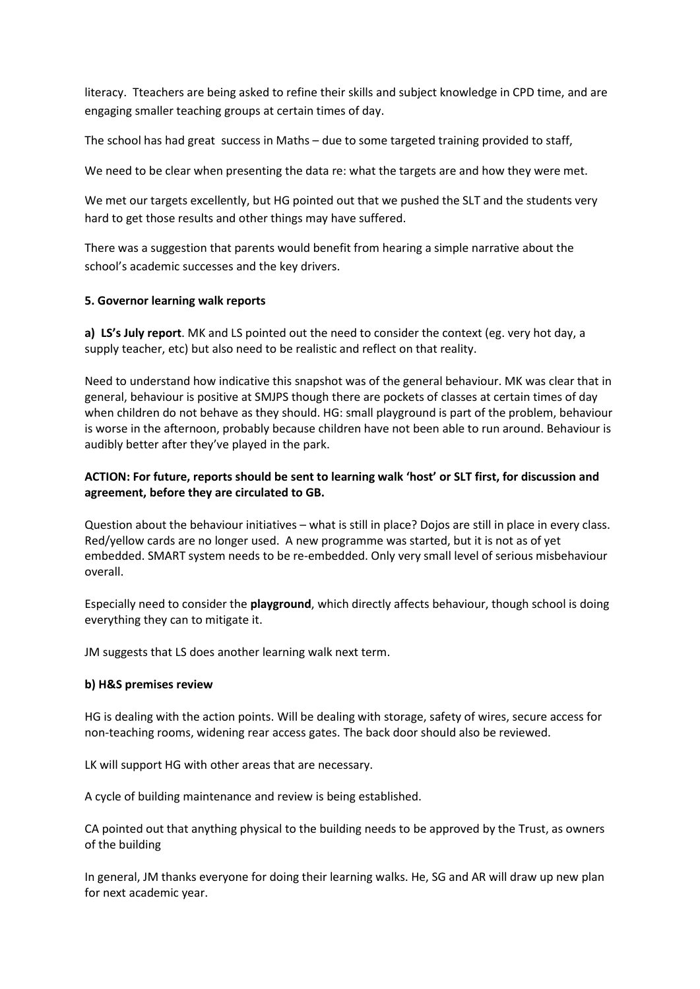literacy. Tteachers are being asked to refine their skills and subject knowledge in CPD time, and are engaging smaller teaching groups at certain times of day.

The school has had great success in Maths – due to some targeted training provided to staff,

We need to be clear when presenting the data re: what the targets are and how they were met.

We met our targets excellently, but HG pointed out that we pushed the SLT and the students very hard to get those results and other things may have suffered.

There was a suggestion that parents would benefit from hearing a simple narrative about the school's academic successes and the key drivers.

## **5. Governor learning walk reports**

**a) LS's July report**. MK and LS pointed out the need to consider the context (eg. very hot day, a supply teacher, etc) but also need to be realistic and reflect on that reality.

Need to understand how indicative this snapshot was of the general behaviour. MK was clear that in general, behaviour is positive at SMJPS though there are pockets of classes at certain times of day when children do not behave as they should. HG: small playground is part of the problem, behaviour is worse in the afternoon, probably because children have not been able to run around. Behaviour is audibly better after they've played in the park.

# **ACTION: For future, reports should be sent to learning walk 'host' or SLT first, for discussion and agreement, before they are circulated to GB.**

Question about the behaviour initiatives – what is still in place? Dojos are still in place in every class. Red/yellow cards are no longer used. A new programme was started, but it is not as of yet embedded. SMART system needs to be re-embedded. Only very small level of serious misbehaviour overall.

Especially need to consider the **playground**, which directly affects behaviour, though school is doing everything they can to mitigate it.

JM suggests that LS does another learning walk next term.

#### **b) H&S premises review**

HG is dealing with the action points. Will be dealing with storage, safety of wires, secure access for non-teaching rooms, widening rear access gates. The back door should also be reviewed.

LK will support HG with other areas that are necessary.

A cycle of building maintenance and review is being established.

CA pointed out that anything physical to the building needs to be approved by the Trust, as owners of the building

In general, JM thanks everyone for doing their learning walks. He, SG and AR will draw up new plan for next academic year.